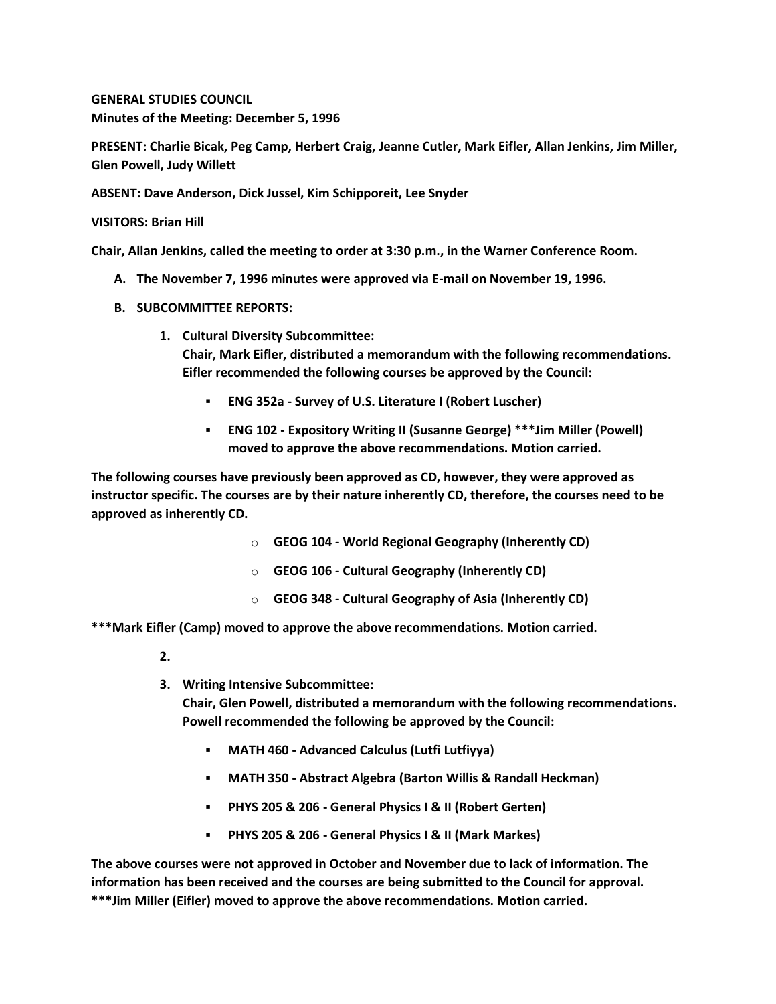**GENERAL STUDIES COUNCIL Minutes of the Meeting: December 5, 1996**

**PRESENT: Charlie Bicak, Peg Camp, Herbert Craig, Jeanne Cutler, Mark Eifler, Allan Jenkins, Jim Miller, Glen Powell, Judy Willett**

**ABSENT: Dave Anderson, Dick Jussel, Kim Schipporeit, Lee Snyder**

**VISITORS: Brian Hill**

**Chair, Allan Jenkins, called the meeting to order at 3:30 p.m., in the Warner Conference Room.**

- **A. The November 7, 1996 minutes were approved via E-mail on November 19, 1996.**
- **B. SUBCOMMITTEE REPORTS:**
	- **1. Cultural Diversity Subcommittee: Chair, Mark Eifler, distributed a memorandum with the following recommendations. Eifler recommended the following courses be approved by the Council:** 
		- **ENG 352a - Survey of U.S. Literature I (Robert Luscher)**
		- **ENG 102 - Expository Writing II (Susanne George) \*\*\*Jim Miller (Powell) moved to approve the above recommendations. Motion carried.**

**The following courses have previously been approved as CD, however, they were approved as instructor specific. The courses are by their nature inherently CD, therefore, the courses need to be approved as inherently CD.**

- o **GEOG 104 - World Regional Geography (Inherently CD)**
- o **GEOG 106 - Cultural Geography (Inherently CD)**
- o **GEOG 348 - Cultural Geography of Asia (Inherently CD)**

**\*\*\*Mark Eifler (Camp) moved to approve the above recommendations. Motion carried.**

- **2.**
- **3. Writing Intensive Subcommittee:**

**Chair, Glen Powell, distributed a memorandum with the following recommendations. Powell recommended the following be approved by the Council:** 

- **MATH 460 - Advanced Calculus (Lutfi Lutfiyya)**
- **MATH 350 - Abstract Algebra (Barton Willis & Randall Heckman)**
- **PHYS 205 & 206 - General Physics I & II (Robert Gerten)**
- **PHYS 205 & 206 - General Physics I & II (Mark Markes)**

**The above courses were not approved in October and November due to lack of information. The information has been received and the courses are being submitted to the Council for approval. \*\*\*Jim Miller (Eifler) moved to approve the above recommendations. Motion carried.**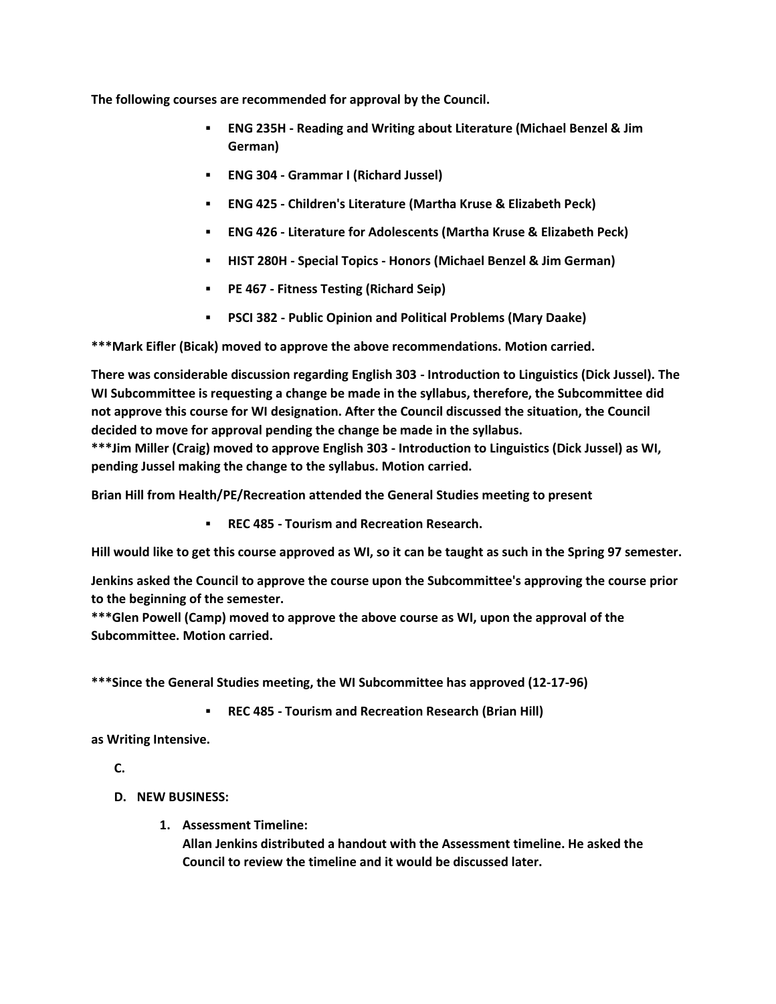**The following courses are recommended for approval by the Council.**

- **ENG 235H - Reading and Writing about Literature (Michael Benzel & Jim German)**
- **ENG 304 - Grammar I (Richard Jussel)**
- **ENG 425 - Children's Literature (Martha Kruse & Elizabeth Peck)**
- **ENG 426 - Literature for Adolescents (Martha Kruse & Elizabeth Peck)**
- **HIST 280H - Special Topics - Honors (Michael Benzel & Jim German)**
- **PE 467 - Fitness Testing (Richard Seip)**
- **PSCI 382 - Public Opinion and Political Problems (Mary Daake)**

**\*\*\*Mark Eifler (Bicak) moved to approve the above recommendations. Motion carried.** 

**There was considerable discussion regarding English 303 - Introduction to Linguistics (Dick Jussel). The WI Subcommittee is requesting a change be made in the syllabus, therefore, the Subcommittee did not approve this course for WI designation. After the Council discussed the situation, the Council decided to move for approval pending the change be made in the syllabus.**

**\*\*\*Jim Miller (Craig) moved to approve English 303 - Introduction to Linguistics (Dick Jussel) as WI, pending Jussel making the change to the syllabus. Motion carried.**

**Brian Hill from Health/PE/Recreation attended the General Studies meeting to present** 

**REC 485 - Tourism and Recreation Research.**

**Hill would like to get this course approved as WI, so it can be taught as such in the Spring 97 semester.** 

**Jenkins asked the Council to approve the course upon the Subcommittee's approving the course prior to the beginning of the semester.**

**\*\*\*Glen Powell (Camp) moved to approve the above course as WI, upon the approval of the Subcommittee. Motion carried.**

**\*\*\*Since the General Studies meeting, the WI Subcommittee has approved (12-17-96)**

**REC 485 - Tourism and Recreation Research (Brian Hill)**

**as Writing Intensive.**

**C.**

- **D. NEW BUSINESS:**
	- **1. Assessment Timeline:**

**Allan Jenkins distributed a handout with the Assessment timeline. He asked the Council to review the timeline and it would be discussed later.**